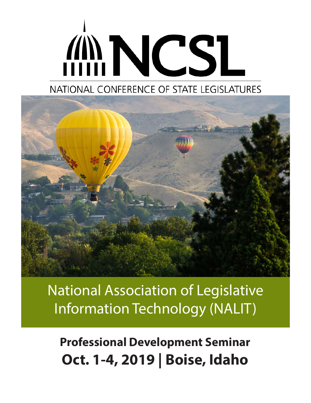# **ANNCSL**

# NATIONAL CONFERENCE OF STATE LEGISLATURES



National Association of Legislative Information Technology (NALIT)

**Professional Development Seminar Oct. 1-4, 2019 | Boise, Idaho**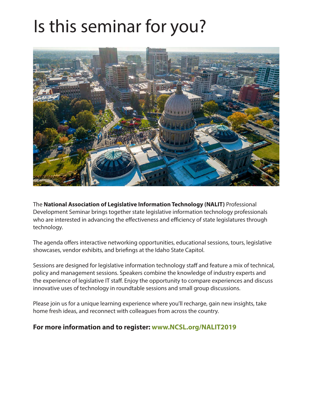# Is this seminar for you?



The **National Association of Legislative Information Technology (NALIT)** Professional Development Seminar brings together state legislative information technology professionals who are interested in advancing the effectiveness and efficiency of state legislatures through technology.

The agenda offers interactive networking opportunities, educational sessions, tours, legislative showcases, vendor exhibits, and briefings at the Idaho State Capitol.

Sessions are designed for legislative information technology staff and feature a mix of technical, policy and management sessions. Speakers combine the knowledge of industry experts and the experience of legislative IT staff. Enjoy the opportunity to compare experiences and discuss innovative uses of technology in roundtable sessions and small group discussions.

Please join us for a unique learning experience where you'll recharge, gain new insights, take home fresh ideas, and reconnect with colleagues from across the country.

### **For more information and to register: www.NCSL.org/NALIT2019**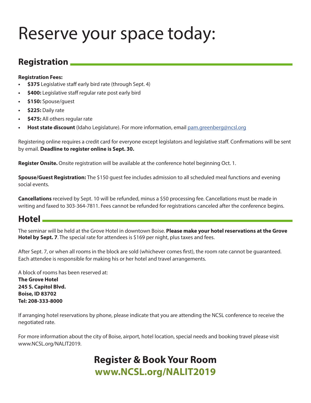# Reserve your space today:

## **Registration**

#### **Registration Fees:**

- **• \$375** Legislative staff early bird rate (through Sept. 4)
- **• \$400:** Legislative staff regular rate post early bird
- **• \$150:** Spouse/guest
- **• \$225:** Daily rate
- **• \$475:** All others regular rate
- **• Host state discount** (Idaho Legislature). For more information, email pam.greenberg@ncsl.org

Registering online requires a credit card for everyone except legislators and legislative staff. Confirmations will be sent by email. **Deadline to register online is Sept. 30.**

**Register Onsite.** Onsite registration will be available at the conference hotel beginning Oct. 1.

**Spouse/Guest Registration:** The \$150 guest fee includes admission to all scheduled meal functions and evening social events.

**Cancellations** received by Sept. 10 will be refunded, minus a \$50 processing fee. Cancellations must be made in writing and faxed to 303-364-7811. Fees cannot be refunded for registrations canceled after the conference begins.

## **Hotel**

The seminar will be held at the Grove Hotel in downtown Boise. **Please make your hotel reservations at the Grove Hotel by Sept. 7**. The special rate for attendees is \$169 per night, plus taxes and fees.

After Sept. 7, or when all rooms in the block are sold (whichever comes first), the room rate cannot be guaranteed. Each attendee is responsible for making his or her hotel and travel arrangements.

A block of rooms has been reserved at: **The Grove Hotel 245 S. Capitol Blvd. Boise, ID 83702 Tel: 208-333-8000**

If arranging hotel reservations by phone, please indicate that you are attending the NCSL conference to receive the negotiated rate.

For more information about the city of Boise, airport, hotel location, special needs and booking travel please visit www.NCSL.org/NALIT2019.

# **Register & Book Your Room www.NCSL.org/NALIT2019**